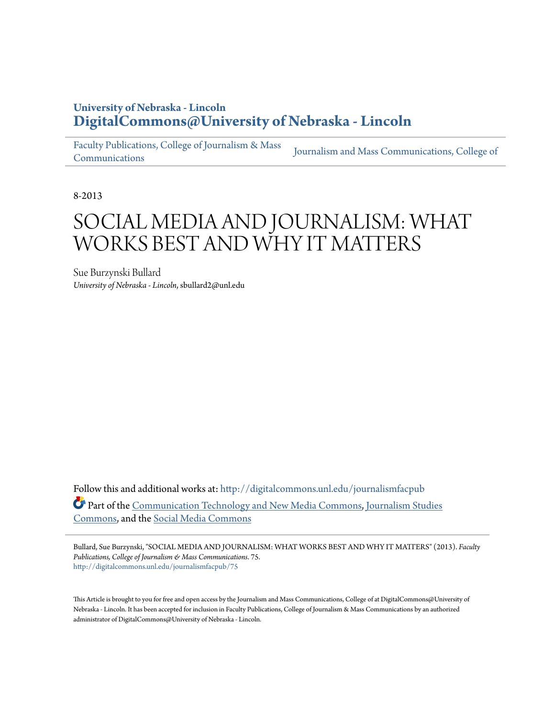# **University of Nebraska - Lincoln [DigitalCommons@University of Nebraska - Lincoln](http://digitalcommons.unl.edu?utm_source=digitalcommons.unl.edu%2Fjournalismfacpub%2F75&utm_medium=PDF&utm_campaign=PDFCoverPages)**

[Faculty Publications, College of Journalism & Mass](http://digitalcommons.unl.edu/journalismfacpub?utm_source=digitalcommons.unl.edu%2Fjournalismfacpub%2F75&utm_medium=PDF&utm_campaign=PDFCoverPages) [Communications](http://digitalcommons.unl.edu/journalismfacpub?utm_source=digitalcommons.unl.edu%2Fjournalismfacpub%2F75&utm_medium=PDF&utm_campaign=PDFCoverPages) [Journalism and Mass Communications, College of](http://digitalcommons.unl.edu/journalism?utm_source=digitalcommons.unl.edu%2Fjournalismfacpub%2F75&utm_medium=PDF&utm_campaign=PDFCoverPages)

8-2013

# SOCIAL MEDIA AND JOURNALISM: WHAT WORKS BEST AND WHY IT MATTERS

Sue Burzynski Bullard *University of Nebraska - Lincoln*, sbullard2@unl.edu

Follow this and additional works at: [http://digitalcommons.unl.edu/journalismfacpub](http://digitalcommons.unl.edu/journalismfacpub?utm_source=digitalcommons.unl.edu%2Fjournalismfacpub%2F75&utm_medium=PDF&utm_campaign=PDFCoverPages) Part of the [Communication Technology and New Media Commons](http://network.bepress.com/hgg/discipline/327?utm_source=digitalcommons.unl.edu%2Fjournalismfacpub%2F75&utm_medium=PDF&utm_campaign=PDFCoverPages), [Journalism Studies](http://network.bepress.com/hgg/discipline/333?utm_source=digitalcommons.unl.edu%2Fjournalismfacpub%2F75&utm_medium=PDF&utm_campaign=PDFCoverPages) [Commons,](http://network.bepress.com/hgg/discipline/333?utm_source=digitalcommons.unl.edu%2Fjournalismfacpub%2F75&utm_medium=PDF&utm_campaign=PDFCoverPages) and the [Social Media Commons](http://network.bepress.com/hgg/discipline/1249?utm_source=digitalcommons.unl.edu%2Fjournalismfacpub%2F75&utm_medium=PDF&utm_campaign=PDFCoverPages)

Bullard, Sue Burzynski, "SOCIAL MEDIA AND JOURNALISM: WHAT WORKS BEST AND WHY IT MATTERS" (2013). *Faculty Publications, College of Journalism & Mass Communications*. 75. [http://digitalcommons.unl.edu/journalismfacpub/75](http://digitalcommons.unl.edu/journalismfacpub/75?utm_source=digitalcommons.unl.edu%2Fjournalismfacpub%2F75&utm_medium=PDF&utm_campaign=PDFCoverPages)

This Article is brought to you for free and open access by the Journalism and Mass Communications, College of at DigitalCommons@University of Nebraska - Lincoln. It has been accepted for inclusion in Faculty Publications, College of Journalism & Mass Communications by an authorized administrator of DigitalCommons@University of Nebraska - Lincoln.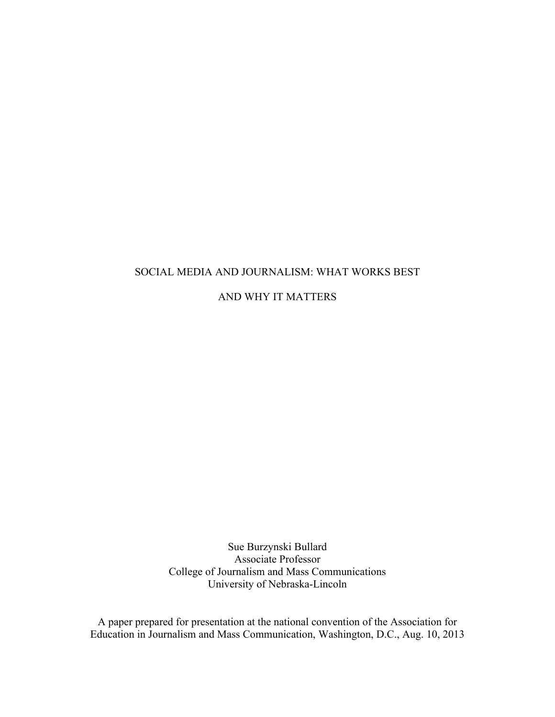# SOCIAL MEDIA AND JOURNALISM: WHAT WORKS BEST

AND WHY IT MATTERS

Sue Burzynski Bullard Associate Professor College of Journalism and Mass Communications University of Nebraska-Lincoln

A paper prepared for presentation at the national convention of the Association for Education in Journalism and Mass Communication, Washington, D.C., Aug. 10, 2013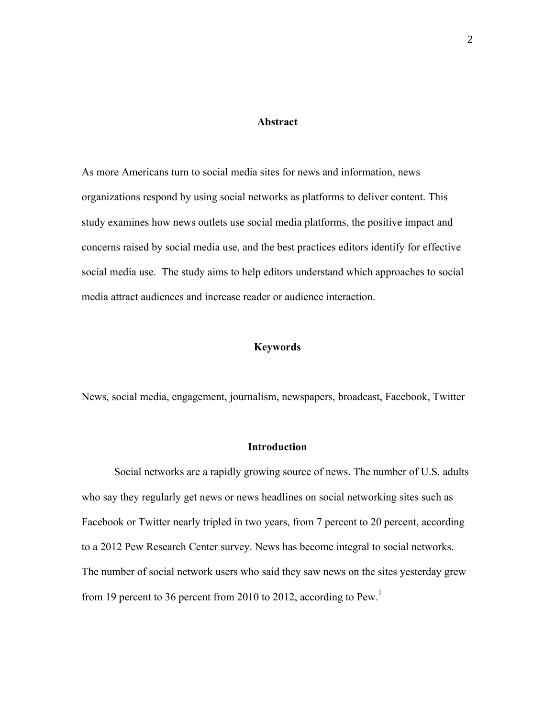#### **Abstract**

As more Americans turn to social media sites for news and information, news organizations respond by using social networks as platforms to deliver content. This study examines how news outlets use social media platforms, the positive impact and concerns raised by social media use, and the best practices editors identify for effective social media use. The study aims to help editors understand which approaches to social media attract audiences and increase reader or audience interaction.

#### **Keywords**

News, social media, engagement, journalism, newspapers, broadcast, Facebook, Twitter

## **Introduction**

Social networks are a rapidly growing source of news. The number of U.S. adults who say they regularly get news or news headlines on social networking sites such as Facebook or Twitter nearly tripled in two years, from 7 percent to 20 percent, according to a 2012 Pew Research Center survey. News has become integral to social networks. The number of social network users who said they saw news on the sites yesterday grew from 19 percent to 36 percent from 2010 to 2012, according to  $Pew<sup>1</sup>$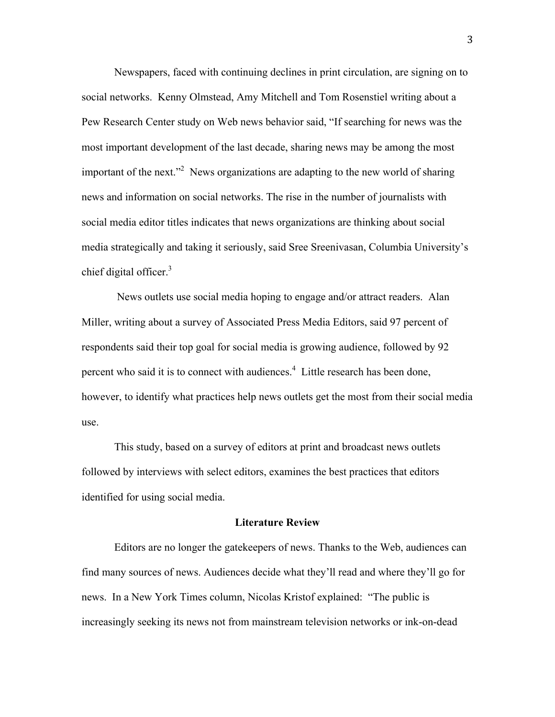Newspapers, faced with continuing declines in print circulation, are signing on to social networks. Kenny Olmstead, Amy Mitchell and Tom Rosenstiel writing about a Pew Research Center study on Web news behavior said, "If searching for news was the most important development of the last decade, sharing news may be among the most important of the next."<sup>2</sup> News organizations are adapting to the new world of sharing news and information on social networks. The rise in the number of journalists with social media editor titles indicates that news organizations are thinking about social media strategically and taking it seriously, said Sree Sreenivasan, Columbia University's chief digital officer. $3$ 

News outlets use social media hoping to engage and/or attract readers. Alan Miller, writing about a survey of Associated Press Media Editors, said 97 percent of respondents said their top goal for social media is growing audience, followed by 92 percent who said it is to connect with audiences.<sup>4</sup> Little research has been done, however, to identify what practices help news outlets get the most from their social media use.

This study, based on a survey of editors at print and broadcast news outlets followed by interviews with select editors, examines the best practices that editors identified for using social media.

# **Literature Review**

Editors are no longer the gatekeepers of news. Thanks to the Web, audiences can find many sources of news. Audiences decide what they'll read and where they'll go for news. In a New York Times column, Nicolas Kristof explained: "The public is increasingly seeking its news not from mainstream television networks or ink-on-dead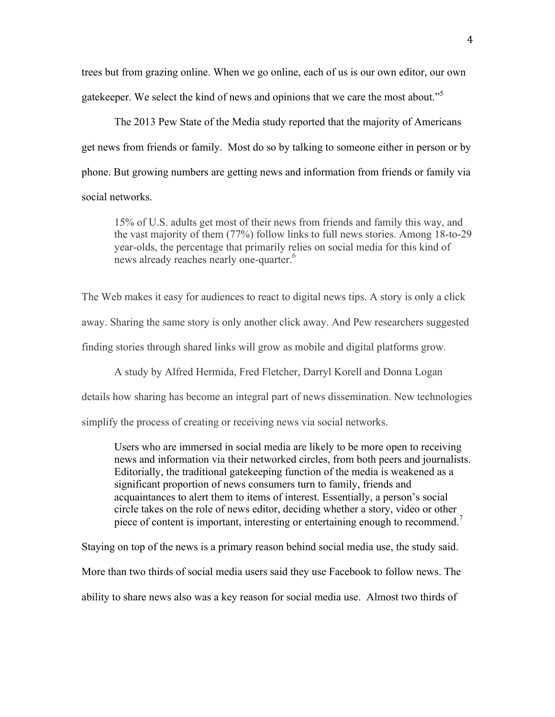trees but from grazing online. When we go online, each of us is our own editor, our own gatekeeper. We select the kind of news and opinions that we care the most about."<sup>5</sup>

The 2013 Pew State of the Media study reported that the majority of Americans get news from friends or family. Most do so by talking to someone either in person or by phone. But growing numbers are getting news and information from friends or family via social networks.

15% of U.S. adults get most of their news from friends and family this way, and the vast majority of them (77%) follow links to full news stories. Among 18-to-29 year-olds, the percentage that primarily relies on social media for this kind of news already reaches nearly one-quarter.<sup>6</sup>

The Web makes it easy for audiences to react to digital news tips. A story is only a click away. Sharing the same story is only another click away. And Pew researchers suggested finding stories through shared links will grow as mobile and digital platforms grow.

A study by Alfred Hermida, Fred Fletcher, Darryl Korell and Donna Logan

details how sharing has become an integral part of news dissemination. New technologies

simplify the process of creating or receiving news via social networks.

Users who are immersed in social media are likely to be more open to receiving news and information via their networked circles, from both peers and journalists. Editorially, the traditional gatekeeping function of the media is weakened as a significant proportion of news consumers turn to family, friends and acquaintances to alert them to items of interest. Essentially, a person's social circle takes on the role of news editor, deciding whether a story, video or other piece of content is important, interesting or entertaining enough to recommend.<sup>7</sup>

Staying on top of the news is a primary reason behind social media use, the study said.

More than two thirds of social media users said they use Facebook to follow news. The

ability to share news also was a key reason for social media use. Almost two thirds of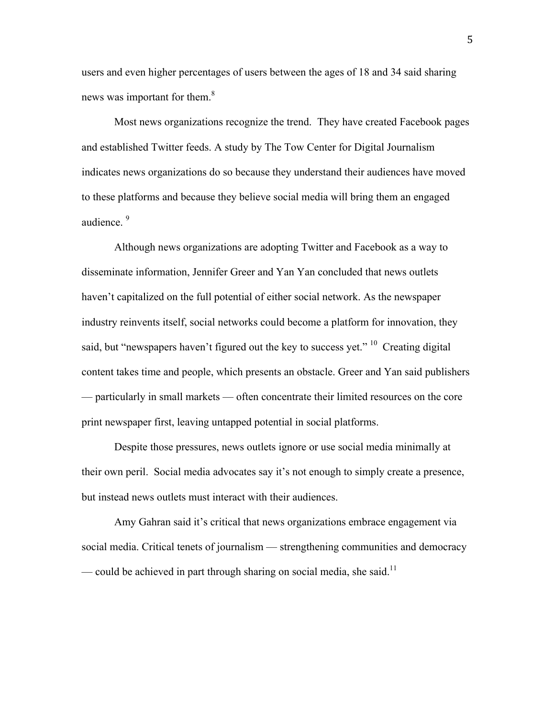users and even higher percentages of users between the ages of 18 and 34 said sharing news was important for them.<sup>8</sup>

Most news organizations recognize the trend. They have created Facebook pages and established Twitter feeds. A study by The Tow Center for Digital Journalism indicates news organizations do so because they understand their audiences have moved to these platforms and because they believe social media will bring them an engaged audience.<sup>9</sup>

Although news organizations are adopting Twitter and Facebook as a way to disseminate information, Jennifer Greer and Yan Yan concluded that news outlets haven't capitalized on the full potential of either social network. As the newspaper industry reinvents itself, social networks could become a platform for innovation, they said, but "newspapers haven't figured out the key to success yet." <sup>10</sup> Creating digital content takes time and people, which presents an obstacle. Greer and Yan said publishers — particularly in small markets — often concentrate their limited resources on the core print newspaper first, leaving untapped potential in social platforms.

Despite those pressures, news outlets ignore or use social media minimally at their own peril. Social media advocates say it's not enough to simply create a presence, but instead news outlets must interact with their audiences.

Amy Gahran said it's critical that news organizations embrace engagement via social media. Critical tenets of journalism — strengthening communities and democracy — could be achieved in part through sharing on social media, she said.<sup>11</sup>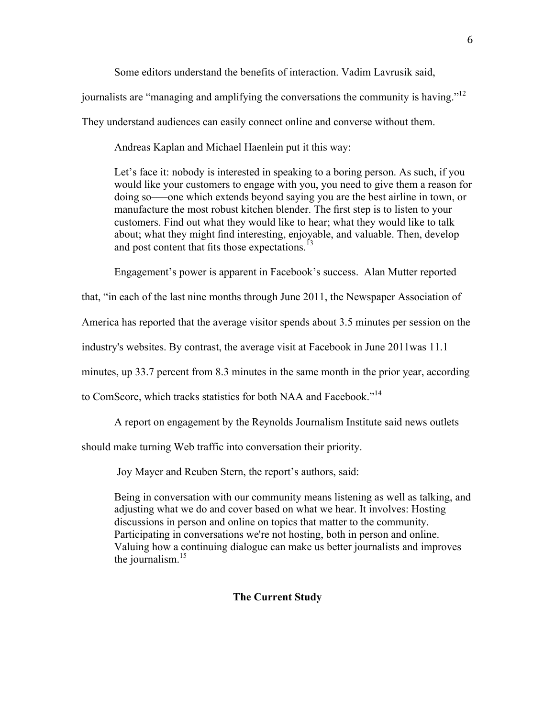Some editors understand the benefits of interaction. Vadim Lavrusik said,

journalists are "managing and amplifying the conversations the community is having."<sup>12</sup>

They understand audiences can easily connect online and converse without them.

Andreas Kaplan and Michael Haenlein put it this way:

Let's face it: nobody is interested in speaking to a boring person. As such, if you would like your customers to engage with you, you need to give them a reason for doing so–—one which extends beyond saying you are the best airline in town, or manufacture the most robust kitchen blender. The first step is to listen to your customers. Find out what they would like to hear; what they would like to talk about; what they might find interesting, enjoyable, and valuable. Then, develop and post content that fits those expectations.<sup>13</sup>

Engagement's power is apparent in Facebook's success. Alan Mutter reported

that, "in each of the last nine months through June 2011, the Newspaper Association of

America has reported that the average visitor spends about 3.5 minutes per session on the

industry's websites. By contrast, the average visit at Facebook in June 2011was 11.1

minutes, up 33.7 percent from 8.3 minutes in the same month in the prior year, according

to ComScore, which tracks statistics for both NAA and Facebook."<sup>14</sup>

A report on engagement by the Reynolds Journalism Institute said news outlets

should make turning Web traffic into conversation their priority.

Joy Mayer and Reuben Stern, the report's authors, said:

Being in conversation with our community means listening as well as talking, and adjusting what we do and cover based on what we hear. It involves: Hosting discussions in person and online on topics that matter to the community. Participating in conversations we're not hosting, both in person and online. Valuing how a continuing dialogue can make us better journalists and improves the journalism. $^{15}$ 

#### **The Current Study**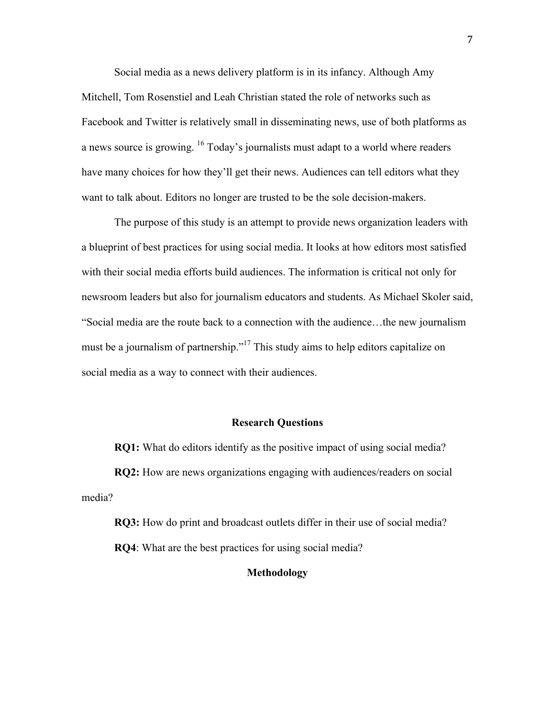Social media as a news delivery platform is in its infancy. Although Amy Mitchell, Tom Rosenstiel and Leah Christian stated the role of networks such as Facebook and Twitter is relatively small in disseminating news, use of both platforms as a news source is growing. 16 Today's journalists must adapt to a world where readers have many choices for how they'll get their news. Audiences can tell editors what they want to talk about. Editors no longer are trusted to be the sole decision-makers.

The purpose of this study is an attempt to provide news organization leaders with a blueprint of best practices for using social media. It looks at how editors most satisfied with their social media efforts build audiences. The information is critical not only for newsroom leaders but also for journalism educators and students. As Michael Skoler said, "Social media are the route back to a connection with the audience…the new journalism must be a journalism of partnership."<sup>17</sup> This study aims to help editors capitalize on social media as a way to connect with their audiences.

#### **Research Questions**

**RQ1:** What do editors identify as the positive impact of using social media?

**RQ2:** How are news organizations engaging with audiences/readers on social media?

**RQ3:** How do print and broadcast outlets differ in their use of social media? **RQ4**: What are the best practices for using social media?

# **Methodology**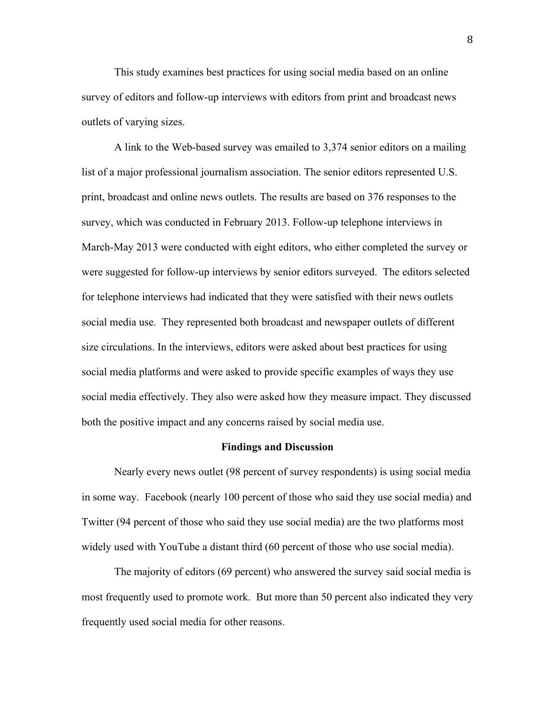This study examines best practices for using social media based on an online survey of editors and follow-up interviews with editors from print and broadcast news outlets of varying sizes.

A link to the Web-based survey was emailed to 3,374 senior editors on a mailing list of a major professional journalism association. The senior editors represented U.S. print, broadcast and online news outlets. The results are based on 376 responses to the survey, which was conducted in February 2013. Follow-up telephone interviews in March-May 2013 were conducted with eight editors, who either completed the survey or were suggested for follow-up interviews by senior editors surveyed. The editors selected for telephone interviews had indicated that they were satisfied with their news outlets social media use. They represented both broadcast and newspaper outlets of different size circulations. In the interviews, editors were asked about best practices for using social media platforms and were asked to provide specific examples of ways they use social media effectively. They also were asked how they measure impact. They discussed both the positive impact and any concerns raised by social media use.

#### **Findings and Discussion**

Nearly every news outlet (98 percent of survey respondents) is using social media in some way. Facebook (nearly 100 percent of those who said they use social media) and Twitter (94 percent of those who said they use social media) are the two platforms most widely used with YouTube a distant third (60 percent of those who use social media).

The majority of editors (69 percent) who answered the survey said social media is most frequently used to promote work. But more than 50 percent also indicated they very frequently used social media for other reasons.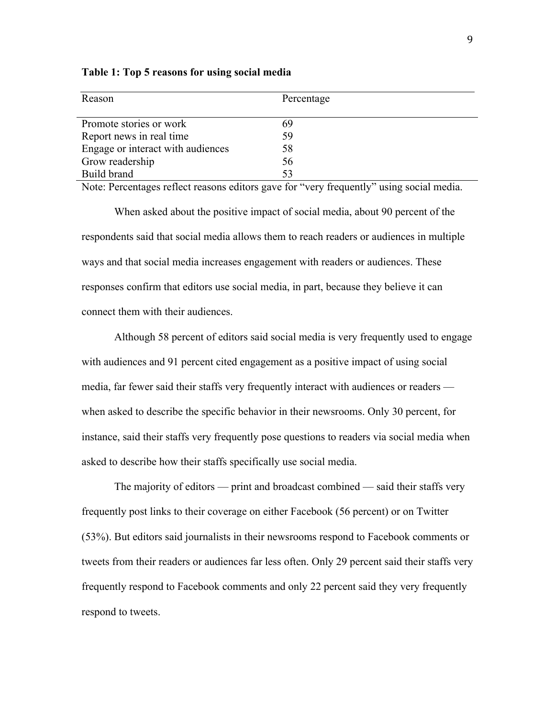| Reason                            | Percentage |
|-----------------------------------|------------|
| Promote stories or work           | 69         |
| Report news in real time          | 59         |
| Engage or interact with audiences | 58         |
| Grow readership                   | 56         |
| Build brand                       | 53         |

**Table 1: Top 5 reasons for using social media**

Note: Percentages reflect reasons editors gave for "very frequently" using social media.

When asked about the positive impact of social media, about 90 percent of the respondents said that social media allows them to reach readers or audiences in multiple ways and that social media increases engagement with readers or audiences. These responses confirm that editors use social media, in part, because they believe it can connect them with their audiences.

Although 58 percent of editors said social media is very frequently used to engage with audiences and 91 percent cited engagement as a positive impact of using social media, far fewer said their staffs very frequently interact with audiences or readers when asked to describe the specific behavior in their newsrooms. Only 30 percent, for instance, said their staffs very frequently pose questions to readers via social media when asked to describe how their staffs specifically use social media.

The majority of editors — print and broadcast combined — said their staffs very frequently post links to their coverage on either Facebook (56 percent) or on Twitter (53%). But editors said journalists in their newsrooms respond to Facebook comments or tweets from their readers or audiences far less often. Only 29 percent said their staffs very frequently respond to Facebook comments and only 22 percent said they very frequently respond to tweets.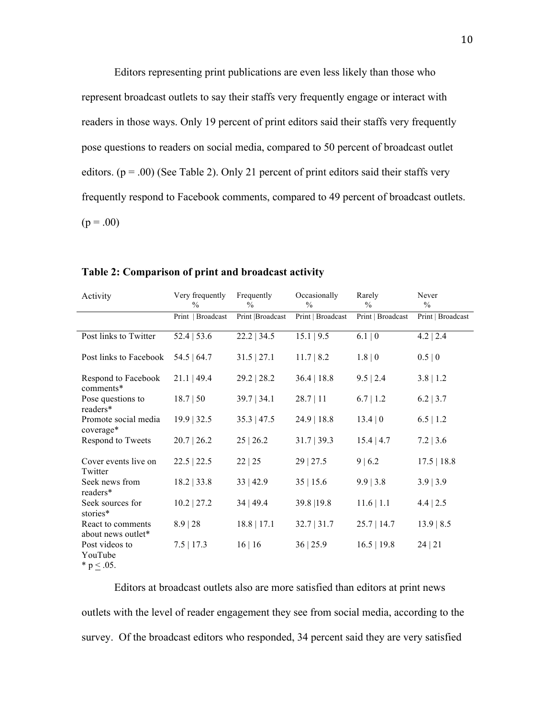Editors representing print publications are even less likely than those who represent broadcast outlets to say their staffs very frequently engage or interact with readers in those ways. Only 19 percent of print editors said their staffs very frequently pose questions to readers on social media, compared to 50 percent of broadcast outlet editors.  $(p = .00)$  (See Table 2). Only 21 percent of print editors said their staffs very frequently respond to Facebook comments, compared to 49 percent of broadcast outlets.  $(p = .00)$ 

| Activity                                   | Very frequently<br>$\frac{0}{0}$ | Frequently<br>$\%$ | Occasionally<br>$\frac{0}{0}$ | Rarely<br>$\%$    | Never<br>$\frac{0}{0}$ |
|--------------------------------------------|----------------------------------|--------------------|-------------------------------|-------------------|------------------------|
|                                            | Print   Broadcast                | Print  Broadcast   | Print   Broadcast             | Print   Broadcast | Print   Broadcast      |
| Post links to Twitter                      | $52.4$   53.6                    | $22.2$   34.5      | 15.1   9.5                    | 6.1   0           | $4.2$   2.4            |
| Post links to Facebook                     | 54.5   64.7                      | $31.5$   27.1      | 11.7   8.2                    | 1.8   0           | 0.5   0                |
| Respond to Facebook<br>comments*           | $21.1$   49.4                    | $29.2$   28.2      | 36.4   18.8                   | $9.5 \mid 2.4$    | $3.8$   1.2            |
| Pose questions to<br>readers*              | 18.7   50                        | 39.7   34.1        | 28.7 11                       | $6.7$   1.2       | $6.2$   3.7            |
| Promote social media<br>coverage*          | $19.9$   32.5                    | $35.3$   47.5      | $24.9$   18.8                 | 13.4 0            | $6.5 \mid 1.2$         |
| Respond to Tweets                          | $20.7 \mid 26.2$                 | $25 \mid 26.2$     | 31.7   39.3                   | $15.4 \mid 4.7$   | $7.2$   3.6            |
| Cover events live on<br>Twitter            | $22.5$   22.5                    | 22   25            | 29   27.5                     | $9 \mid 6.2$      | 17.5   18.8            |
| Seek news from<br>readers*                 | 18.2   33.8                      | 33   42.9          | 35 15.6                       | 9.9   3.8         | 3.9   3.9              |
| Seek sources for<br>stories*               | $10.2$   27.2                    | 34   49.4          | 39.8   19.8                   | 11.6   1.1        | $4.4$   2.5            |
| React to comments<br>about news outlet*    | 8.9   28                         | $18.8$   17.1      | 32.7   31.7                   | $25.7$   14.7     | 13.9   8.5             |
| Post videos to<br>YouTube<br>* $p < .05$ . | $7.5$   17.3                     | 16 16              | 36 25.9                       | 16.5   19.8       | 24 21                  |

#### **Table 2: Comparison of print and broadcast activity**

Editors at broadcast outlets also are more satisfied than editors at print news outlets with the level of reader engagement they see from social media, according to the survey. Of the broadcast editors who responded, 34 percent said they are very satisfied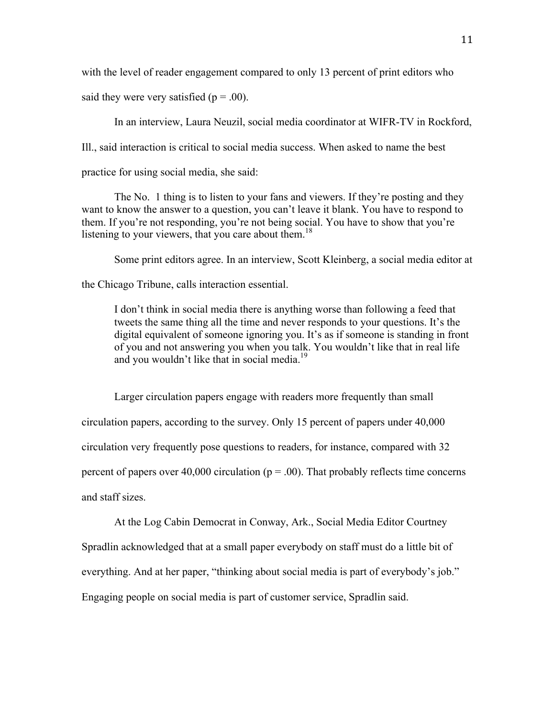with the level of reader engagement compared to only 13 percent of print editors who said they were very satisfied  $(p = .00)$ .

In an interview, Laura Neuzil, social media coordinator at WIFR-TV in Rockford, Ill., said interaction is critical to social media success. When asked to name the best practice for using social media, she said:

The No. 1 thing is to listen to your fans and viewers. If they're posting and they want to know the answer to a question, you can't leave it blank. You have to respond to them. If you're not responding, you're not being social. You have to show that you're listening to your viewers, that you care about them.<sup>18</sup>

Some print editors agree. In an interview, Scott Kleinberg, a social media editor at

the Chicago Tribune, calls interaction essential.

I don't think in social media there is anything worse than following a feed that tweets the same thing all the time and never responds to your questions. It's the digital equivalent of someone ignoring you. It's as if someone is standing in front of you and not answering you when you talk. You wouldn't like that in real life and you wouldn't like that in social media.<sup>19</sup>

Larger circulation papers engage with readers more frequently than small circulation papers, according to the survey. Only 15 percent of papers under 40,000 circulation very frequently pose questions to readers, for instance, compared with 32 percent of papers over 40,000 circulation ( $p = .00$ ). That probably reflects time concerns and staff sizes.

At the Log Cabin Democrat in Conway, Ark., Social Media Editor Courtney

Spradlin acknowledged that at a small paper everybody on staff must do a little bit of

everything. And at her paper, "thinking about social media is part of everybody's job."

Engaging people on social media is part of customer service, Spradlin said.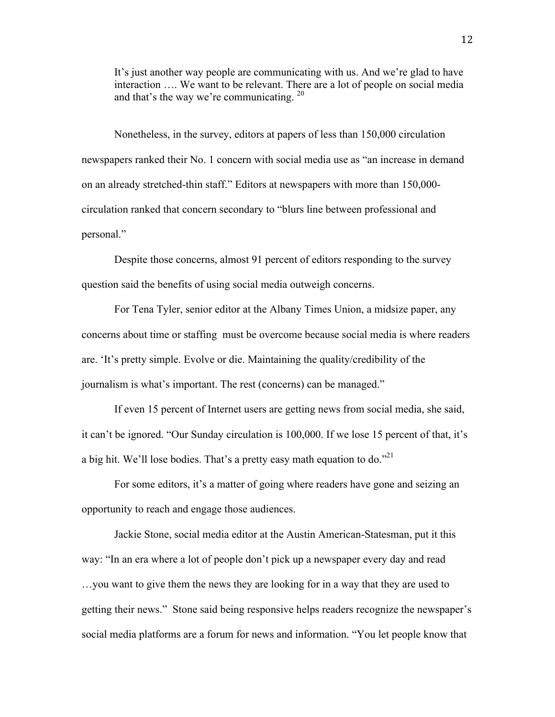It's just another way people are communicating with us. And we're glad to have interaction …. We want to be relevant. There are a lot of people on social media and that's the way we're communicating. <sup>20</sup>

Nonetheless, in the survey, editors at papers of less than 150,000 circulation newspapers ranked their No. 1 concern with social media use as "an increase in demand on an already stretched-thin staff." Editors at newspapers with more than 150,000 circulation ranked that concern secondary to "blurs line between professional and personal."

Despite those concerns, almost 91 percent of editors responding to the survey question said the benefits of using social media outweigh concerns.

For Tena Tyler, senior editor at the Albany Times Union, a midsize paper, any concerns about time or staffing must be overcome because social media is where readers are. 'It's pretty simple. Evolve or die. Maintaining the quality/credibility of the journalism is what's important. The rest (concerns) can be managed."

If even 15 percent of Internet users are getting news from social media, she said, it can't be ignored. "Our Sunday circulation is 100,000. If we lose 15 percent of that, it's a big hit. We'll lose bodies. That's a pretty easy math equation to do."21

For some editors, it's a matter of going where readers have gone and seizing an opportunity to reach and engage those audiences.

Jackie Stone, social media editor at the Austin American-Statesman, put it this way: "In an era where a lot of people don't pick up a newspaper every day and read …you want to give them the news they are looking for in a way that they are used to getting their news." Stone said being responsive helps readers recognize the newspaper's social media platforms are a forum for news and information. "You let people know that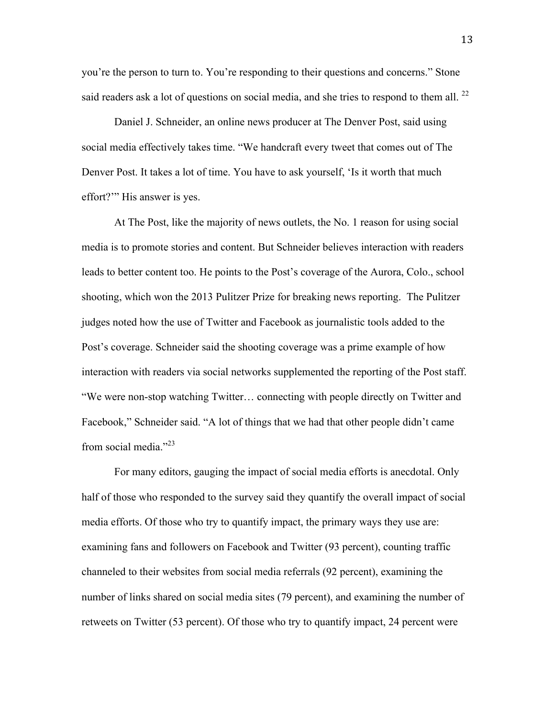you're the person to turn to. You're responding to their questions and concerns." Stone said readers ask a lot of questions on social media, and she tries to respond to them all.  $^{22}$ 

Daniel J. Schneider, an online news producer at The Denver Post, said using social media effectively takes time. "We handcraft every tweet that comes out of The Denver Post. It takes a lot of time. You have to ask yourself, 'Is it worth that much effort?'" His answer is yes.

At The Post, like the majority of news outlets, the No. 1 reason for using social media is to promote stories and content. But Schneider believes interaction with readers leads to better content too. He points to the Post's coverage of the Aurora, Colo., school shooting, which won the 2013 Pulitzer Prize for breaking news reporting. The Pulitzer judges noted how the use of Twitter and Facebook as journalistic tools added to the Post's coverage. Schneider said the shooting coverage was a prime example of how interaction with readers via social networks supplemented the reporting of the Post staff. "We were non-stop watching Twitter… connecting with people directly on Twitter and Facebook," Schneider said. "A lot of things that we had that other people didn't came from social media." $^{23}$ 

For many editors, gauging the impact of social media efforts is anecdotal. Only half of those who responded to the survey said they quantify the overall impact of social media efforts. Of those who try to quantify impact, the primary ways they use are: examining fans and followers on Facebook and Twitter (93 percent), counting traffic channeled to their websites from social media referrals (92 percent), examining the number of links shared on social media sites (79 percent), and examining the number of retweets on Twitter (53 percent). Of those who try to quantify impact, 24 percent were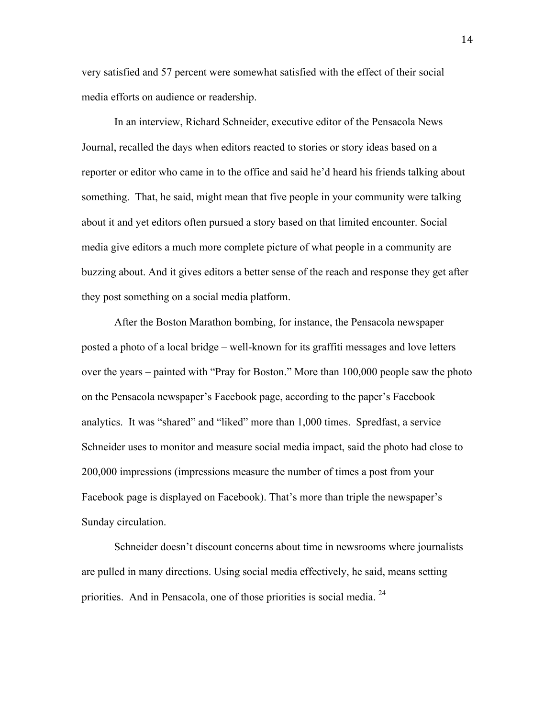very satisfied and 57 percent were somewhat satisfied with the effect of their social media efforts on audience or readership.

In an interview, Richard Schneider, executive editor of the Pensacola News Journal, recalled the days when editors reacted to stories or story ideas based on a reporter or editor who came in to the office and said he'd heard his friends talking about something. That, he said, might mean that five people in your community were talking about it and yet editors often pursued a story based on that limited encounter. Social media give editors a much more complete picture of what people in a community are buzzing about. And it gives editors a better sense of the reach and response they get after they post something on a social media platform.

After the Boston Marathon bombing, for instance, the Pensacola newspaper posted a photo of a local bridge – well-known for its graffiti messages and love letters over the years – painted with "Pray for Boston." More than 100,000 people saw the photo on the Pensacola newspaper's Facebook page, according to the paper's Facebook analytics. It was "shared" and "liked" more than 1,000 times. Spredfast, a service Schneider uses to monitor and measure social media impact, said the photo had close to 200,000 impressions (impressions measure the number of times a post from your Facebook page is displayed on Facebook). That's more than triple the newspaper's Sunday circulation.

Schneider doesn't discount concerns about time in newsrooms where journalists are pulled in many directions. Using social media effectively, he said, means setting priorities. And in Pensacola, one of those priorities is social media. <sup>24</sup>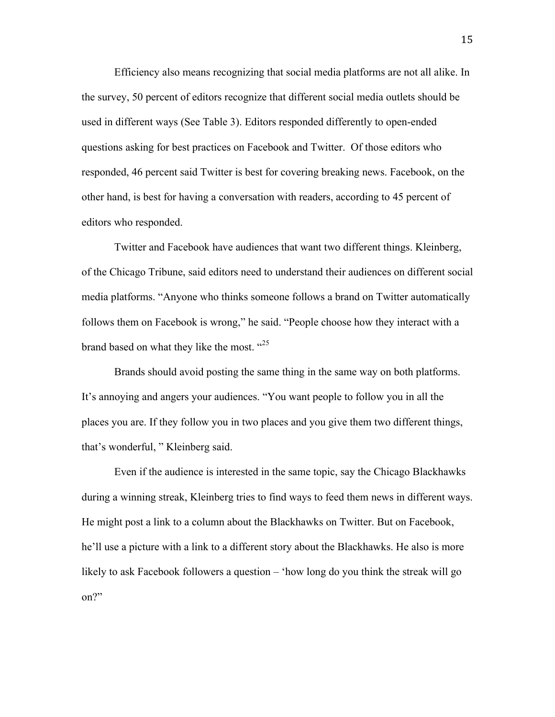Efficiency also means recognizing that social media platforms are not all alike. In the survey, 50 percent of editors recognize that different social media outlets should be used in different ways (See Table 3). Editors responded differently to open-ended questions asking for best practices on Facebook and Twitter. Of those editors who responded, 46 percent said Twitter is best for covering breaking news. Facebook, on the other hand, is best for having a conversation with readers, according to 45 percent of editors who responded.

Twitter and Facebook have audiences that want two different things. Kleinberg, of the Chicago Tribune, said editors need to understand their audiences on different social media platforms. "Anyone who thinks someone follows a brand on Twitter automatically follows them on Facebook is wrong," he said. "People choose how they interact with a brand based on what they like the most.  $425$ 

Brands should avoid posting the same thing in the same way on both platforms. It's annoying and angers your audiences. "You want people to follow you in all the places you are. If they follow you in two places and you give them two different things, that's wonderful, " Kleinberg said.

Even if the audience is interested in the same topic, say the Chicago Blackhawks during a winning streak, Kleinberg tries to find ways to feed them news in different ways. He might post a link to a column about the Blackhawks on Twitter. But on Facebook, he'll use a picture with a link to a different story about the Blackhawks. He also is more likely to ask Facebook followers a question – 'how long do you think the streak will go on?"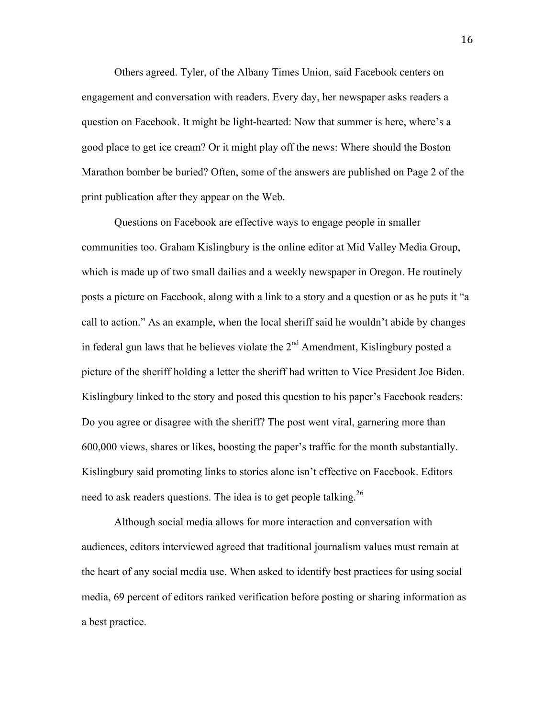Others agreed. Tyler, of the Albany Times Union, said Facebook centers on engagement and conversation with readers. Every day, her newspaper asks readers a question on Facebook. It might be light-hearted: Now that summer is here, where's a good place to get ice cream? Or it might play off the news: Where should the Boston Marathon bomber be buried? Often, some of the answers are published on Page 2 of the print publication after they appear on the Web.

Questions on Facebook are effective ways to engage people in smaller communities too. Graham Kislingbury is the online editor at Mid Valley Media Group, which is made up of two small dailies and a weekly newspaper in Oregon. He routinely posts a picture on Facebook, along with a link to a story and a question or as he puts it "a call to action." As an example, when the local sheriff said he wouldn't abide by changes in federal gun laws that he believes violate the  $2<sup>nd</sup>$  Amendment, Kislingbury posted a picture of the sheriff holding a letter the sheriff had written to Vice President Joe Biden. Kislingbury linked to the story and posed this question to his paper's Facebook readers: Do you agree or disagree with the sheriff? The post went viral, garnering more than 600,000 views, shares or likes, boosting the paper's traffic for the month substantially. Kislingbury said promoting links to stories alone isn't effective on Facebook. Editors need to ask readers questions. The idea is to get people talking.<sup>26</sup>

Although social media allows for more interaction and conversation with audiences, editors interviewed agreed that traditional journalism values must remain at the heart of any social media use. When asked to identify best practices for using social media, 69 percent of editors ranked verification before posting or sharing information as a best practice.

16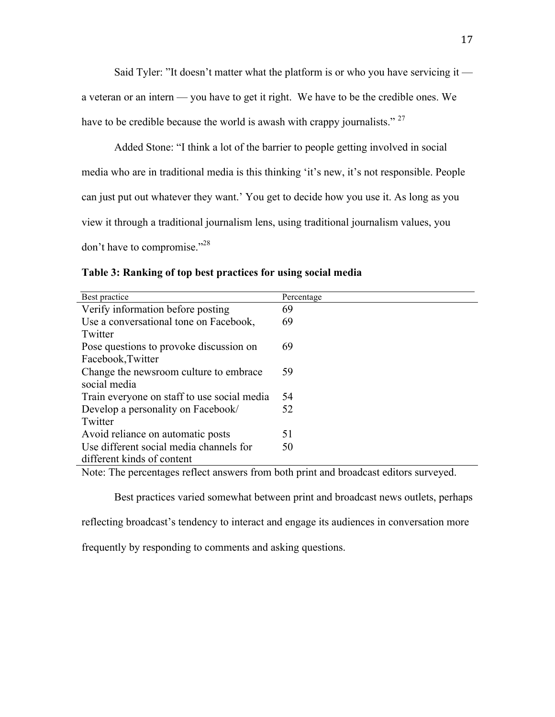Said Tyler: "It doesn't matter what the platform is or who you have servicing it —

a veteran or an intern — you have to get it right. We have to be the credible ones. We have to be credible because the world is awash with crappy journalists."  $27$ 

Added Stone: "I think a lot of the barrier to people getting involved in social media who are in traditional media is this thinking 'it's new, it's not responsible. People can just put out whatever they want.' You get to decide how you use it. As long as you view it through a traditional journalism lens, using traditional journalism values, you

don't have to compromise."28

|  |  |  |  | Table 3: Ranking of top best practices for using social media |  |  |
|--|--|--|--|---------------------------------------------------------------|--|--|
|  |  |  |  |                                                               |  |  |

| Best practice                               | Percentage |
|---------------------------------------------|------------|
| Verify information before posting           | 69         |
| Use a conversational tone on Facebook,      | 69         |
| Twitter                                     |            |
| Pose questions to provoke discussion on     | 69         |
| Facebook, Twitter                           |            |
| Change the newsroom culture to embrace      | 59         |
| social media                                |            |
| Train everyone on staff to use social media | 54         |
| Develop a personality on Facebook/          | 52         |
| Twitter                                     |            |
| Avoid reliance on automatic posts           | 51         |
| Use different social media channels for     | 50         |
| different kinds of content                  |            |

Note: The percentages reflect answers from both print and broadcast editors surveyed.

Best practices varied somewhat between print and broadcast news outlets, perhaps

reflecting broadcast's tendency to interact and engage its audiences in conversation more

frequently by responding to comments and asking questions.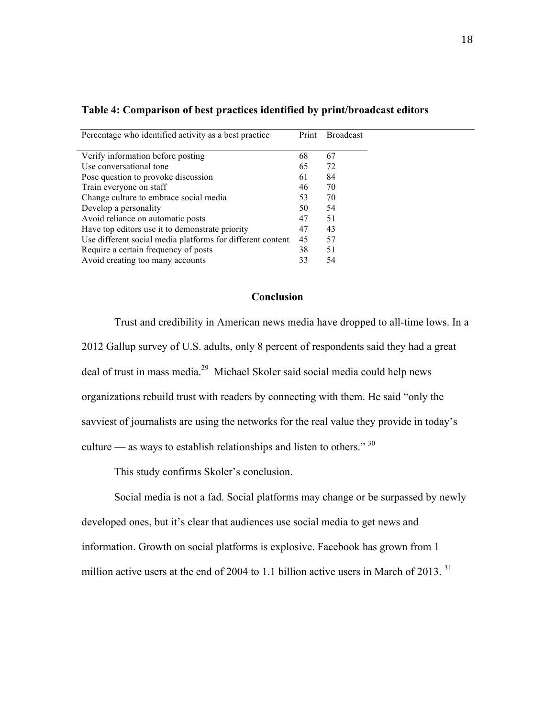| Percentage who identified activity as a best practice      | Print | <b>Broadcast</b> |
|------------------------------------------------------------|-------|------------------|
| Verify information before posting                          | 68    | 67               |
| Use conversational tone                                    | 65    | 72               |
| Pose question to provoke discussion                        | 61    | 84               |
| Train everyone on staff                                    | 46    | 70               |
| Change culture to embrace social media                     | 53    | 70               |
| Develop a personality                                      | 50    | 54               |
| Avoid reliance on automatic posts                          | 47    | 51               |
| Have top editors use it to demonstrate priority            | 47    | 43               |
| Use different social media platforms for different content | 45    | 57               |
| Require a certain frequency of posts                       | 38    | 51               |
| Avoid creating too many accounts                           | 33    | 54               |

## **Table 4: Comparison of best practices identified by print/broadcast editors**

# **Conclusion**

Trust and credibility in American news media have dropped to all-time lows. In a 2012 Gallup survey of U.S. adults, only 8 percent of respondents said they had a great deal of trust in mass media.29 Michael Skoler said social media could help news organizations rebuild trust with readers by connecting with them. He said "only the savviest of journalists are using the networks for the real value they provide in today's culture — as ways to establish relationships and listen to others."  $30$ 

This study confirms Skoler's conclusion.

Social media is not a fad. Social platforms may change or be surpassed by newly developed ones, but it's clear that audiences use social media to get news and information. Growth on social platforms is explosive. Facebook has grown from 1 million active users at the end of 2004 to 1.1 billion active users in March of 2013.<sup>31</sup>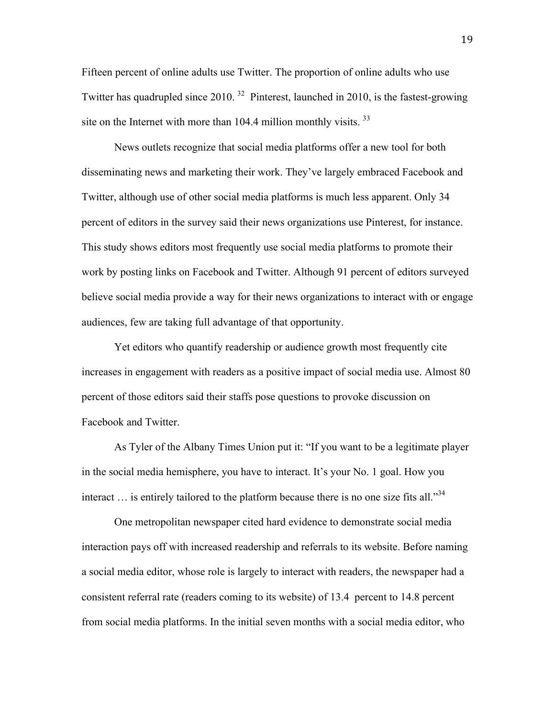Fifteen percent of online adults use Twitter. The proportion of online adults who use Twitter has quadrupled since 2010. 32 Pinterest, launched in 2010, is the fastest-growing site on the Internet with more than  $104.4$  million monthly visits.  $33$ 

News outlets recognize that social media platforms offer a new tool for both disseminating news and marketing their work. They've largely embraced Facebook and Twitter, although use of other social media platforms is much less apparent. Only 34 percent of editors in the survey said their news organizations use Pinterest, for instance. This study shows editors most frequently use social media platforms to promote their work by posting links on Facebook and Twitter. Although 91 percent of editors surveyed believe social media provide a way for their news organizations to interact with or engage audiences, few are taking full advantage of that opportunity.

Yet editors who quantify readership or audience growth most frequently cite increases in engagement with readers as a positive impact of social media use. Almost 80 percent of those editors said their staffs pose questions to provoke discussion on Facebook and Twitter.

As Tyler of the Albany Times Union put it: "If you want to be a legitimate player in the social media hemisphere, you have to interact. It's your No. 1 goal. How you interact  $\ldots$  is entirely tailored to the platform because there is no one size fits all.<sup>334</sup>

One metropolitan newspaper cited hard evidence to demonstrate social media interaction pays off with increased readership and referrals to its website. Before naming a social media editor, whose role is largely to interact with readers, the newspaper had a consistent referral rate (readers coming to its website) of 13.4 percent to 14.8 percent from social media platforms. In the initial seven months with a social media editor, who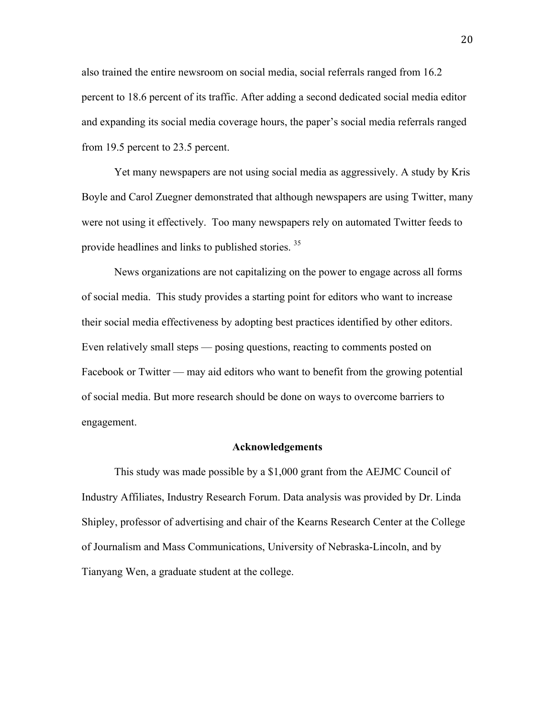also trained the entire newsroom on social media, social referrals ranged from 16.2 percent to 18.6 percent of its traffic. After adding a second dedicated social media editor and expanding its social media coverage hours, the paper's social media referrals ranged from 19.5 percent to 23.5 percent.

Yet many newspapers are not using social media as aggressively. A study by Kris Boyle and Carol Zuegner demonstrated that although newspapers are using Twitter, many were not using it effectively. Too many newspapers rely on automated Twitter feeds to provide headlines and links to published stories.<sup>35</sup>

News organizations are not capitalizing on the power to engage across all forms of social media. This study provides a starting point for editors who want to increase their social media effectiveness by adopting best practices identified by other editors. Even relatively small steps — posing questions, reacting to comments posted on Facebook or Twitter — may aid editors who want to benefit from the growing potential of social media. But more research should be done on ways to overcome barriers to engagement.

#### **Acknowledgements**

This study was made possible by a \$1,000 grant from the AEJMC Council of Industry Affiliates, Industry Research Forum. Data analysis was provided by Dr. Linda Shipley, professor of advertising and chair of the Kearns Research Center at the College of Journalism and Mass Communications, University of Nebraska-Lincoln, and by Tianyang Wen, a graduate student at the college.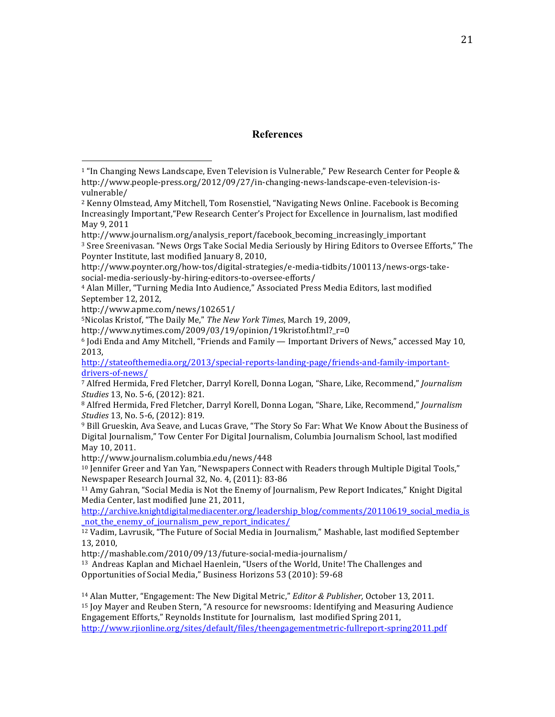#### **References**

 

5Nicolas Kristof, "The Daily Me," The New York Times, March 19, 2009,

http://www.nytimes.com/2009/03/19/opinion/19kristof.html?\_r=0

http://stateofthemedia.org/2013/special-reports-landing-page/friends-and-family-importantdrivers-of-news/

http://www.journalism.columbia.edu/news/448

<sup>10</sup> Jennifer Greer and Yan Yan, "Newspapers Connect with Readers through Multiple Digital Tools," Newspaper Research Journal 32, No. 4, (2011): 83-86

 $11$  Amy Gahran, "Social Media is Not the Enemy of Journalism, Pew Report Indicates," Knight Digital Media Center, last modified June 21, 2011,

http://archive.knightdigitalmediacenter.org/leadership\_blog/comments/20110619\_social\_media\_is \_not\_the\_enemy\_of\_journalism\_pew\_report\_indicates/

 $12$  Vadim, Lavrusik, "The Future of Social Media in Journalism," Mashable, last modified September 13, 2010, 

http://mashable.com/2010/09/13/future-social-media-journalism/

<sup>13</sup> Andreas Kaplan and Michael Haenlein, "Users of the World, Unite! The Challenges and Opportunities of Social Media," Business Horizons 53 (2010): 59-68

<sup>14</sup> Alan Mutter, "Engagement: The New Digital Metric," *Editor & Publisher*, October 13, 2011. <sup>15</sup> Joy Mayer and Reuben Stern, "A resource for newsrooms: Identifying and Measuring Audience Engagement Efforts," Reynolds Institute for Journalism, last modified Spring 2011, http://www.rjionline.org/sites/default/files/theengagementmetric-fullreport-spring2011.pdf

 $1$  "In Changing News Landscape, Even Television is Vulnerable," Pew Research Center for People & http://www.people-press.org/2012/09/27/in-changing-news-landscape-even-television-isvulnerable/

 $2$  Kenny Olmstead, Amy Mitchell, Tom Rosenstiel, "Navigating News Online. Facebook is Becoming Increasingly Important, "Pew Research Center's Project for Excellence in Journalism, last modified May 9, 2011

http://www.journalism.org/analysis\_report/facebook\_becoming\_increasingly\_important <sup>3</sup> Sree Sreenivasan. "News Orgs Take Social Media Seriously by Hiring Editors to Oversee Efforts," The Poynter Institute, last modified January 8, 2010,

http://www.poynter.org/how-tos/digital-strategies/e-media-tidbits/100113/news-orgs-takesocial-media-seriously-by-hiring-editors-to-oversee-efforts/

<sup>&</sup>lt;sup>4</sup> Alan Miller, "Turning Media Into Audience," Associated Press Media Editors, last modified September 12, 2012,

http://www.apme.com/news/102651/

 $6$  Jodi Enda and Amy Mitchell, "Friends and Family — Important Drivers of News," accessed May 10, 2013,

<sup>&</sup>lt;sup>7</sup> Alfred Hermida, Fred Fletcher, Darryl Korell, Donna Logan, "Share, Like, Recommend," *Journalism Studies* 13, No. 5-6, (2012): 821.

<sup>&</sup>lt;sup>8</sup> Alfred Hermida, Fred Fletcher, Darryl Korell, Donna Logan, "Share, Like, Recommend," *Journalism Studies* 13, No. 5-6, (2012): 819.

<sup>&</sup>lt;sup>9</sup> Bill Grueskin, Ava Seave, and Lucas Grave, "The Story So Far: What We Know About the Business of Digital Journalism," Tow Center For Digital Journalism, Columbia Journalism School, last modified May 10, 2011.